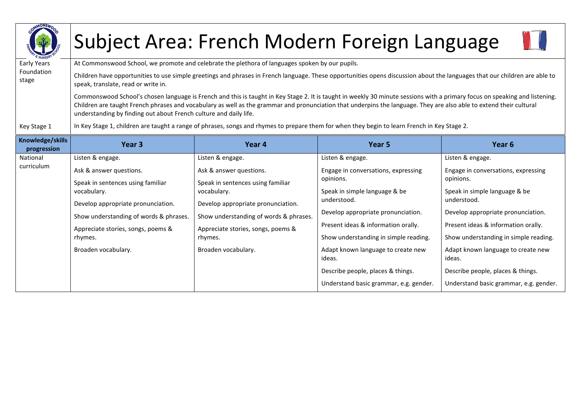| <b>AMONSWO</b>                  |                                                                                                                                                                                                                                                                                                                                                                                                                         | Subject Area: French Modern Foreign Language                                                                                                 |                                                  |                                                  |  |  |  |
|---------------------------------|-------------------------------------------------------------------------------------------------------------------------------------------------------------------------------------------------------------------------------------------------------------------------------------------------------------------------------------------------------------------------------------------------------------------------|----------------------------------------------------------------------------------------------------------------------------------------------|--------------------------------------------------|--------------------------------------------------|--|--|--|
| Early Years                     | At Commonswood School, we promote and celebrate the plethora of languages spoken by our pupils.                                                                                                                                                                                                                                                                                                                         |                                                                                                                                              |                                                  |                                                  |  |  |  |
| Foundation<br>stage             | Children have opportunities to use simple greetings and phrases in French language. These opportunities opens discussion about the languages that our children are able to<br>speak, translate, read or write in.                                                                                                                                                                                                       |                                                                                                                                              |                                                  |                                                  |  |  |  |
|                                 | Commonswood School's chosen language is French and this is taught in Key Stage 2. It is taught in weekly 30 minute sessions with a primary focus on speaking and listening.<br>Children are taught French phrases and vocabulary as well as the grammar and pronunciation that underpins the language. They are also able to extend their cultural<br>understanding by finding out about French culture and daily life. |                                                                                                                                              |                                                  |                                                  |  |  |  |
| Key Stage 1                     | In Key Stage 1, children are taught a range of phrases, songs and rhymes to prepare them for when they begin to learn French in Key Stage 2.                                                                                                                                                                                                                                                                            |                                                                                                                                              |                                                  |                                                  |  |  |  |
| Knowledge/skills<br>progression | Year <sub>3</sub>                                                                                                                                                                                                                                                                                                                                                                                                       | Year 4                                                                                                                                       | Year 5                                           | Year 6                                           |  |  |  |
| National                        | Listen & engage.                                                                                                                                                                                                                                                                                                                                                                                                        | Listen & engage.                                                                                                                             | Listen & engage.                                 | Listen & engage.                                 |  |  |  |
| curriculum                      | Ask & answer questions.<br>Speak in sentences using familiar                                                                                                                                                                                                                                                                                                                                                            | Ask & answer questions.<br>Speak in sentences using familiar                                                                                 | Engage in conversations, expressing<br>opinions. | Engage in conversations, expressing<br>opinions. |  |  |  |
|                                 | vocabulary.                                                                                                                                                                                                                                                                                                                                                                                                             | vocabulary.<br>Develop appropriate pronunciation.<br>Show understanding of words & phrases.<br>Appreciate stories, songs, poems &<br>rhymes. | Speak in simple language & be<br>understood.     | Speak in simple language & be<br>understood.     |  |  |  |
|                                 | Develop appropriate pronunciation.                                                                                                                                                                                                                                                                                                                                                                                      |                                                                                                                                              | Develop appropriate pronunciation.               | Develop appropriate pronunciation.               |  |  |  |
|                                 | Show understanding of words & phrases.                                                                                                                                                                                                                                                                                                                                                                                  |                                                                                                                                              | Present ideas & information orally.              | Present ideas & information orally.              |  |  |  |
|                                 | Appreciate stories, songs, poems &<br>rhymes.                                                                                                                                                                                                                                                                                                                                                                           |                                                                                                                                              | Show understanding in simple reading.            | Show understanding in simple reading.            |  |  |  |
|                                 | Broaden vocabulary.                                                                                                                                                                                                                                                                                                                                                                                                     | Broaden vocabulary.                                                                                                                          | Adapt known language to create new<br>ideas.     | Adapt known language to create new<br>ideas.     |  |  |  |
|                                 |                                                                                                                                                                                                                                                                                                                                                                                                                         |                                                                                                                                              | Describe people, places & things.                | Describe people, places & things.                |  |  |  |
|                                 |                                                                                                                                                                                                                                                                                                                                                                                                                         |                                                                                                                                              | Understand basic grammar, e.g. gender.           | Understand basic grammar, e.g. gender.           |  |  |  |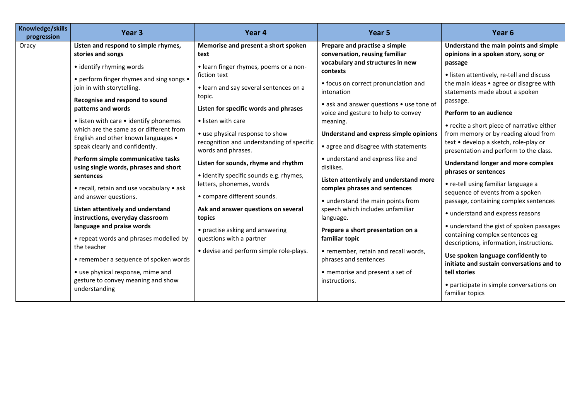| Knowledge/skills<br>progression | Year <sub>3</sub>                                                                                                                                                                                                                                                                                                                                                                                                                                                                                                                                                                                                                                                                                                                                                                                                                                           | Year 4                                                                                                                                                                                                                                                                                                                                                                                                                                                                                                                                                                                                                                 | Year 5                                                                                                                                                                                                                                                                                                                                                                                                                                                                                                                                                                                                                                                                                                                                                | Year <sub>6</sub>                                                                                                                                                                                                                                                                                                                                                                                                                                                                                                                                                                                                                                                                                                                                                                                                                                                                                                                                          |
|---------------------------------|-------------------------------------------------------------------------------------------------------------------------------------------------------------------------------------------------------------------------------------------------------------------------------------------------------------------------------------------------------------------------------------------------------------------------------------------------------------------------------------------------------------------------------------------------------------------------------------------------------------------------------------------------------------------------------------------------------------------------------------------------------------------------------------------------------------------------------------------------------------|----------------------------------------------------------------------------------------------------------------------------------------------------------------------------------------------------------------------------------------------------------------------------------------------------------------------------------------------------------------------------------------------------------------------------------------------------------------------------------------------------------------------------------------------------------------------------------------------------------------------------------------|-------------------------------------------------------------------------------------------------------------------------------------------------------------------------------------------------------------------------------------------------------------------------------------------------------------------------------------------------------------------------------------------------------------------------------------------------------------------------------------------------------------------------------------------------------------------------------------------------------------------------------------------------------------------------------------------------------------------------------------------------------|------------------------------------------------------------------------------------------------------------------------------------------------------------------------------------------------------------------------------------------------------------------------------------------------------------------------------------------------------------------------------------------------------------------------------------------------------------------------------------------------------------------------------------------------------------------------------------------------------------------------------------------------------------------------------------------------------------------------------------------------------------------------------------------------------------------------------------------------------------------------------------------------------------------------------------------------------------|
| Oracy                           | Listen and respond to simple rhymes,<br>stories and songs<br>• identify rhyming words<br>• perform finger rhymes and sing songs •<br>join in with storytelling.<br>Recognise and respond to sound<br>patterns and words<br>• listen with care • identify phonemes<br>which are the same as or different from<br>English and other known languages •<br>speak clearly and confidently.<br>Perform simple communicative tasks<br>using single words, phrases and short<br>sentences<br>• recall, retain and use vocabulary • ask<br>and answer questions.<br>Listen attentively and understand<br>instructions, everyday classroom<br>language and praise words<br>• repeat words and phrases modelled by<br>the teacher<br>• remember a sequence of spoken words<br>• use physical response, mime and<br>gesture to convey meaning and show<br>understanding | Memorise and present a short spoken<br>text<br>• learn finger rhymes, poems or a non-<br>fiction text<br>• learn and say several sentences on a<br>topic.<br>Listen for specific words and phrases<br>• listen with care<br>• use physical response to show<br>recognition and understanding of specific<br>words and phrases.<br>Listen for sounds, rhyme and rhythm<br>• identify specific sounds e.g. rhymes,<br>letters, phonemes, words<br>• compare different sounds.<br>Ask and answer questions on several<br>topics<br>• practise asking and answering<br>questions with a partner<br>• devise and perform simple role-plays. | Prepare and practise a simple<br>conversation, reusing familiar<br>vocabulary and structures in new<br>contexts<br>• focus on correct pronunciation and<br>intonation<br>• ask and answer questions • use tone of<br>voice and gesture to help to convey<br>meaning.<br>Understand and express simple opinions<br>• agree and disagree with statements<br>• understand and express like and<br>dislikes.<br>Listen attentively and understand more<br>complex phrases and sentences<br>• understand the main points from<br>speech which includes unfamiliar<br>language.<br>Prepare a short presentation on a<br>familiar topic<br>• remember, retain and recall words,<br>phrases and sentences<br>• memorise and present a set of<br>instructions. | Understand the main points and simple<br>opinions in a spoken story, song or<br>passage<br>• listen attentively, re-tell and discuss<br>the main ideas • agree or disagree with<br>statements made about a spoken<br>passage.<br>Perform to an audience<br>• recite a short piece of narrative either<br>from memory or by reading aloud from<br>text • develop a sketch, role-play or<br>presentation and perform to the class.<br><b>Understand longer and more complex</b><br>phrases or sentences<br>• re-tell using familiar language a<br>sequence of events from a spoken<br>passage, containing complex sentences<br>• understand and express reasons<br>• understand the gist of spoken passages<br>containing complex sentences eg<br>descriptions, information, instructions.<br>Use spoken language confidently to<br>initiate and sustain conversations and to<br>tell stories<br>• participate in simple conversations on<br>familiar topics |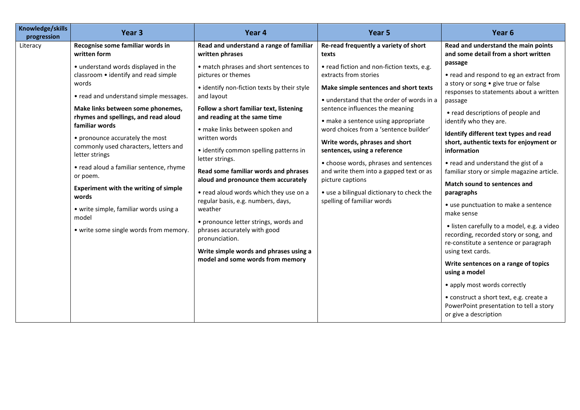| Knowledge/skills<br>Year <sub>3</sub><br>Year 4<br>Year 5<br>progression                                                                                                                                                                                                                                                                                                                                                                                                                                                                                                                                                                                                                                                                                                                                                                                                                                                                                                                                                                                                                                                                                                                                                                                                                                                                                                                                                                                                                                                                                                                                                                                                                                                                                   | Year <sub>6</sub>                                                                                                                                                                                                                                                                                                                                                                                                                                                                                                                                                                                                                                                                                                                                                                                                                                                            |
|------------------------------------------------------------------------------------------------------------------------------------------------------------------------------------------------------------------------------------------------------------------------------------------------------------------------------------------------------------------------------------------------------------------------------------------------------------------------------------------------------------------------------------------------------------------------------------------------------------------------------------------------------------------------------------------------------------------------------------------------------------------------------------------------------------------------------------------------------------------------------------------------------------------------------------------------------------------------------------------------------------------------------------------------------------------------------------------------------------------------------------------------------------------------------------------------------------------------------------------------------------------------------------------------------------------------------------------------------------------------------------------------------------------------------------------------------------------------------------------------------------------------------------------------------------------------------------------------------------------------------------------------------------------------------------------------------------------------------------------------------------|------------------------------------------------------------------------------------------------------------------------------------------------------------------------------------------------------------------------------------------------------------------------------------------------------------------------------------------------------------------------------------------------------------------------------------------------------------------------------------------------------------------------------------------------------------------------------------------------------------------------------------------------------------------------------------------------------------------------------------------------------------------------------------------------------------------------------------------------------------------------------|
| Recognise some familiar words in<br>Read and understand a range of familiar<br>Re-read frequently a variety of short<br>Literacy<br>written form<br>written phrases<br>texts                                                                                                                                                                                                                                                                                                                                                                                                                                                                                                                                                                                                                                                                                                                                                                                                                                                                                                                                                                                                                                                                                                                                                                                                                                                                                                                                                                                                                                                                                                                                                                               | Read and understand the main points<br>and some detail from a short written                                                                                                                                                                                                                                                                                                                                                                                                                                                                                                                                                                                                                                                                                                                                                                                                  |
| • understand words displayed in the<br>• read fiction and non-fiction texts, e.g.<br>• match phrases and short sentences to<br>classroom • identify and read simple<br>pictures or themes<br>extracts from stories<br>words<br>• identify non-fiction texts by their style<br>Make simple sentences and short texts<br>• read and understand simple messages.<br>and layout<br>• understand that the order of words in a<br>Follow a short familiar text, listening<br>sentence influences the meaning<br>Make links between some phonemes,<br>rhymes and spellings, and read aloud<br>and reading at the same time<br>• make a sentence using appropriate<br>familiar words<br>word choices from a 'sentence builder'<br>• make links between spoken and<br>written words<br>• pronounce accurately the most<br>Write words, phrases and short<br>commonly used characters, letters and<br>• identify common spelling patterns in<br>sentences, using a reference<br>letter strings<br>letter strings.<br>• choose words, phrases and sentences<br>• read aloud a familiar sentence, rhyme<br>Read some familiar words and phrases<br>and write them into a gapped text or as<br>or poem.<br>aloud and pronounce them accurately<br>picture captions<br><b>Experiment with the writing of simple</b><br>• read aloud words which they use on a<br>• use a bilingual dictionary to check the<br>words<br>regular basis, e.g. numbers, days,<br>spelling of familiar words<br>• write simple, familiar words using a<br>weather<br>model<br>• pronounce letter strings, words and<br>• write some single words from memory.<br>phrases accurately with good<br>pronunciation.<br>Write simple words and phrases using a<br>model and some words from memory | passage<br>• read and respond to eg an extract from<br>a story or song • give true or false<br>responses to statements about a written<br>passage<br>• read descriptions of people and<br>identify who they are.<br>Identify different text types and read<br>short, authentic texts for enjoyment or<br>information<br>• read and understand the gist of a<br>familiar story or simple magazine article.<br>Match sound to sentences and<br>paragraphs<br>• use punctuation to make a sentence<br>make sense<br>· listen carefully to a model, e.g. a video<br>recording, recorded story or song, and<br>re-constitute a sentence or paragraph<br>using text cards.<br>Write sentences on a range of topics<br>using a model<br>• apply most words correctly<br>• construct a short text, e.g. create a<br>PowerPoint presentation to tell a story<br>or give a description |